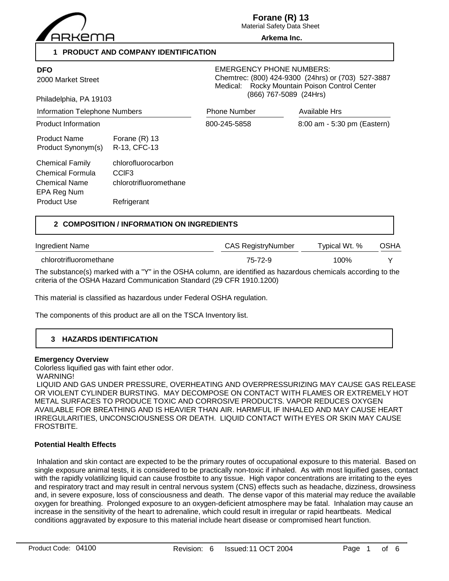

**Forane (R) 13**

Material Safety Data Sheet **Arkema Inc.**

### **1 PRODUCT AND COMPANY IDENTIFICATION**

| <b>DFO</b><br>2000 Market Street<br>Philadelphia, PA 19103                                       |                                                                                  | <b>EMERGENCY PHONE NUMBERS:</b><br>Chemtrec: (800) 424-9300 (24hrs) or (703) 527-3887<br>Rocky Mountain Poison Control Center<br>Medical:<br>(866) 767-5089 (24Hrs) |                             |  |
|--------------------------------------------------------------------------------------------------|----------------------------------------------------------------------------------|---------------------------------------------------------------------------------------------------------------------------------------------------------------------|-----------------------------|--|
| Information Telephone Numbers                                                                    |                                                                                  | <b>Phone Number</b>                                                                                                                                                 | <b>Available Hrs</b>        |  |
| <b>Product Information</b>                                                                       |                                                                                  | 800-245-5858                                                                                                                                                        | 8:00 am - 5:30 pm (Eastern) |  |
| <b>Product Name</b><br>Product Synonym(s)                                                        | Forane $(R)$ 13<br>R-13, CFC-13                                                  |                                                                                                                                                                     |                             |  |
| <b>Chemical Family</b><br>Chemical Formula<br><b>Chemical Name</b><br>EPA Reg Num<br>Product Use | chlorofluorocarbon<br>CCIF <sub>3</sub><br>chlorotrifluoromethane<br>Refrigerant |                                                                                                                                                                     |                             |  |

### **2 COMPOSITION / INFORMATION ON INGREDIENTS**

| Ingredient Name        | CAS RegistryNumber | Typical Wt. % | <b>OSHA</b> |
|------------------------|--------------------|---------------|-------------|
| chlorotrifluoromethane | 75-72-9            | 100%          |             |
|                        |                    |               |             |

The substance(s) marked with a "Y" in the OSHA column, are identified as hazardous chemicals according to the criteria of the OSHA Hazard Communication Standard (29 CFR 1910.1200)

This material is classified as hazardous under Federal OSHA regulation.

The components of this product are all on the TSCA Inventory list.

## **3 HAZARDS IDENTIFICATION**

### **Emergency Overview**

Colorless liquified gas with faint ether odor.

WARNING!

 LIQUID AND GAS UNDER PRESSURE, OVERHEATING AND OVERPRESSURIZING MAY CAUSE GAS RELEASE OR VIOLENT CYLINDER BURSTING. MAY DECOMPOSE ON CONTACT WITH FLAMES OR EXTREMELY HOT METAL SURFACES TO PRODUCE TOXIC AND CORROSIVE PRODUCTS. VAPOR REDUCES OXYGEN AVAILABLE FOR BREATHING AND IS HEAVIER THAN AIR. HARMFUL IF INHALED AND MAY CAUSE HEART IRREGULARITIES, UNCONSCIOUSNESS OR DEATH. LIQUID CONTACT WITH EYES OR SKIN MAY CAUSE FROSTBITE.

### **Potential Health Effects**

 Inhalation and skin contact are expected to be the primary routes of occupational exposure to this material. Based on single exposure animal tests, it is considered to be practically non-toxic if inhaled. As with most liquified gases, contact with the rapidly volatilizing liquid can cause frostbite to any tissue. High vapor concentrations are irritating to the eyes and respiratory tract and may result in central nervous system (CNS) effects such as headache, dizziness, drowsiness and, in severe exposure, loss of consciousness and death. The dense vapor of this material may reduce the available oxygen for breathing. Prolonged exposure to an oxygen-deficient atmosphere may be fatal. Inhalation may cause an increase in the sensitivity of the heart to adrenaline, which could result in irregular or rapid heartbeats. Medical conditions aggravated by exposure to this material include heart disease or compromised heart function.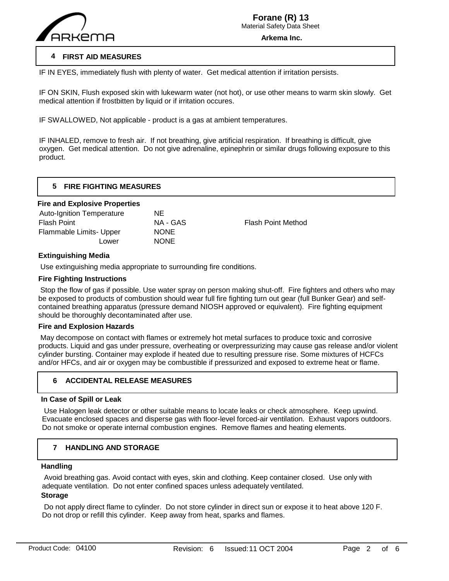

IF IN EYES, immediately flush with plenty of water. Get medical attention if irritation persists.

IF ON SKIN, Flush exposed skin with lukewarm water (not hot), or use other means to warm skin slowly. Get medical attention if frostbitten by liquid or if irritation occures.

IF SWALLOWED, Not applicable - product is a gas at ambient temperatures.

IF INHALED, remove to fresh air. If not breathing, give artificial respiration. If breathing is difficult, give oxygen. Get medical attention. Do not give adrenaline, epinephrin or similar drugs following exposure to this product.

### **5 FIRE FIGHTING MEASURES**

### **Fire and Explosive Properties**

| Auto-Ignition Temperature | NE          |                           |
|---------------------------|-------------|---------------------------|
| Flash Point               | NA - GAS    | <b>Flash Point Method</b> |
| Flammable Limits- Upper   | <b>NONE</b> |                           |
| Lower                     | <b>NONE</b> |                           |
|                           |             |                           |

### **Extinguishing Media**

Use extinguishing media appropriate to surrounding fire conditions.

### **Fire Fighting Instructions**

 Stop the flow of gas if possible. Use water spray on person making shut-off. Fire fighters and others who may be exposed to products of combustion should wear full fire fighting turn out gear (full Bunker Gear) and selfcontained breathing apparatus (pressure demand NIOSH approved or equivalent). Fire fighting equipment should be thoroughly decontaminated after use.

#### **Fire and Explosion Hazards**

 May decompose on contact with flames or extremely hot metal surfaces to produce toxic and corrosive products. Liquid and gas under pressure, overheating or overpressurizing may cause gas release and/or violent cylinder bursting. Container may explode if heated due to resulting pressure rise. Some mixtures of HCFCs and/or HFCs, and air or oxygen may be combustible if pressurized and exposed to extreme heat or flame.

### **6 ACCIDENTAL RELEASE MEASURES**

### **In Case of Spill or Leak**

 Use Halogen leak detector or other suitable means to locate leaks or check atmosphere. Keep upwind. Evacuate enclosed spaces and disperse gas with floor-level forced-air ventilation. Exhaust vapors outdoors. Do not smoke or operate internal combustion engines. Remove flames and heating elements.

#### **7 HANDLING AND STORAGE**

#### **Handling**

 $\overline{a}$ 

 Avoid breathing gas. Avoid contact with eyes, skin and clothing. Keep container closed. Use only with adequate ventilation. Do not enter confined spaces unless adequately ventilated.

### **Storage**

 Do not apply direct flame to cylinder. Do not store cylinder in direct sun or expose it to heat above 120 F. Do not drop or refill this cylinder. Keep away from heat, sparks and flames.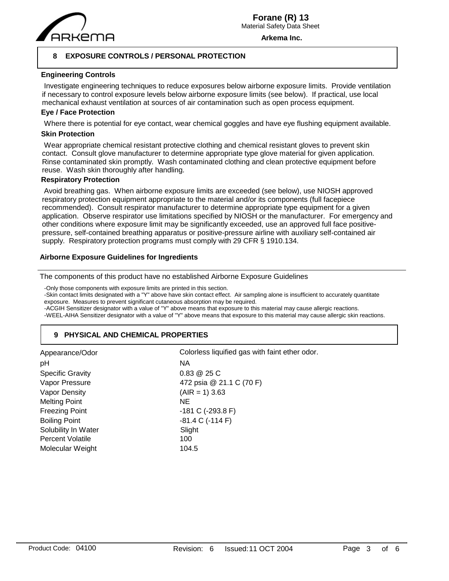

**Arkema Inc.**

### **8 EXPOSURE CONTROLS / PERSONAL PROTECTION**

### **Engineering Controls**

 Investigate engineering techniques to reduce exposures below airborne exposure limits. Provide ventilation if necessary to control exposure levels below airborne exposure limits (see below). If practical, use local mechanical exhaust ventilation at sources of air contamination such as open process equipment.

### **Eye / Face Protection**

Where there is potential for eye contact, wear chemical goggles and have eye flushing equipment available.

### **Skin Protection**

 Wear appropriate chemical resistant protective clothing and chemical resistant gloves to prevent skin contact. Consult glove manufacturer to determine appropriate type glove material for given application. Rinse contaminated skin promptly. Wash contaminated clothing and clean protective equipment before reuse. Wash skin thoroughly after handling.

### **Respiratory Protection**

 Avoid breathing gas. When airborne exposure limits are exceeded (see below), use NIOSH approved respiratory protection equipment appropriate to the material and/or its components (full facepiece recommended). Consult respirator manufacturer to determine appropriate type equipment for a given application. Observe respirator use limitations specified by NIOSH or the manufacturer. For emergency and other conditions where exposure limit may be significantly exceeded, use an approved full face positivepressure, self-contained breathing apparatus or positive-pressure airline with auxiliary self-contained air supply. Respiratory protection programs must comply with 29 CFR § 1910.134.

### **Airborne Exposure Guidelines for Ingredients**

The components of this product have no established Airborne Exposure Guidelines

-Only those components with exposure limits are printed in this section.

-Skin contact limits designated with a "Y" above have skin contact effect. Air sampling alone is insufficient to accurately quantitate exposure. Measures to prevent significant cutaneous absorption may be required.

-ACGIH Sensitizer designator with a value of "Y" above means that exposure to this material may cause allergic reactions.

-WEEL-AIHA Sensitizer designator with a value of "Y" above means that exposure to this material may cause allergic skin reactions.

### **9 PHYSICAL AND CHEMICAL PROPERTIES**

| Appearance/Odor         | Colorless liquified gas with faint ether odor. |
|-------------------------|------------------------------------------------|
| pH                      | <b>NA</b>                                      |
| <b>Specific Gravity</b> | $0.83 \& 25 C$                                 |
| Vapor Pressure          | 472 psia @ 21.1 C (70 F)                       |
| Vapor Density           | $(AIR = 1)$ 3.63                               |
| <b>Melting Point</b>    | <b>NE</b>                                      |
| <b>Freezing Point</b>   | -181 C (-293.8 F)                              |
| <b>Boiling Point</b>    | $-81.4 C (-114 F)$                             |
| Solubility In Water     | Slight                                         |
| <b>Percent Volatile</b> | 100                                            |
| Molecular Weight        | 104.5                                          |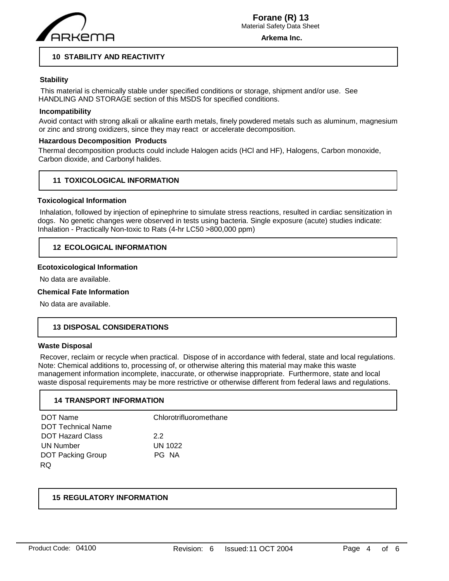

**Arkema Inc.**

### **10 STABILITY AND REACTIVITY**

### **Stability**

 This material is chemically stable under specified conditions or storage, shipment and/or use. See HANDLING AND STORAGE section of this MSDS for specified conditions.

### **Incompatibility**

Avoid contact with strong alkali or alkaline earth metals, finely powdered metals such as aluminum, magnesium or zinc and strong oxidizers, since they may react or accelerate decomposition.

### **Hazardous Decomposition Products**

Thermal decomposition products could include Halogen acids (HCl and HF), Halogens, Carbon monoxide, Carbon dioxide, and Carbonyl halides.

### **11 TOXICOLOGICAL INFORMATION**

### **Toxicological Information**

 Inhalation, followed by injection of epinephrine to simulate stress reactions, resulted in cardiac sensitization in dogs. No genetic changes were observed in tests using bacteria. Single exposure (acute) studies indicate: Inhalation - Practically Non-toxic to Rats (4-hr LC50 >800,000 ppm)

### **12 ECOLOGICAL INFORMATION**

### **Ecotoxicological Information**

No data are available.

#### **Chemical Fate Information**

No data are available.

### **13 DISPOSAL CONSIDERATIONS**

#### **Waste Disposal**

 Recover, reclaim or recycle when practical. Dispose of in accordance with federal, state and local regulations. Note: Chemical additions to, processing of, or otherwise altering this material may make this waste management information incomplete, inaccurate, or otherwise inappropriate. Furthermore, state and local waste disposal requirements may be more restrictive or otherwise different from federal laws and regulations.

### **14 TRANSPORT INFORMATION**

| DOT Name                  | Chlorotrifluoromethane |
|---------------------------|------------------------|
| <b>DOT Technical Name</b> |                        |
| <b>DOT Hazard Class</b>   | 22                     |
| <b>UN Number</b>          | <b>UN 1022</b>         |
| <b>DOT Packing Group</b>  | PG NA                  |
| RQ                        |                        |

### **15 REGULATORY INFORMATION**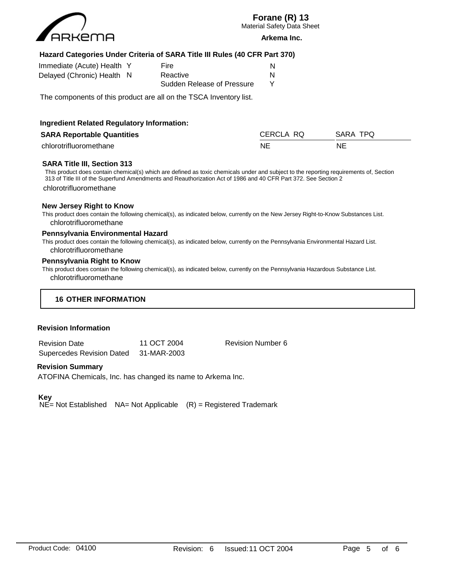

# **Forane (R) 13**

Material Safety Data Sheet

#### **Arkema Inc.**

### **Hazard Categories Under Criteria of SARA Title III Rules (40 CFR Part 370)**

| Immediate (Acute) Health Y | Fire                       |   |
|----------------------------|----------------------------|---|
| Delayed (Chronic) Health N | Reactive                   | N |
|                            | Sudden Release of Pressure |   |

The components of this product are all on the TSCA Inventory list.

| <b>Ingredient Related Regulatory Information:</b> |           |          |
|---------------------------------------------------|-----------|----------|
| <b>SARA Reportable Quantities</b>                 | CERCLA RQ | SARA TPQ |
| chlorotrifluoromethane                            | NE        | NE       |

### **SARA Title III, Section 313**

This product does contain chemical(s) which are defined as toxic chemicals under and subject to the reporting requirements of, Section 313 of Title III of the Superfund Amendments and Reauthorization Act of 1986 and 40 CFR Part 372. See Section 2 chlorotrifluoromethane

### **New Jersey Right to Know**

This product does contain the following chemical(s), as indicated below, currently on the New Jersey Right-to-Know Substances List. chlorotrifluoromethane

### **Pennsylvania Environmental Hazard**

This product does contain the following chemical(s), as indicated below, currently on the Pennsylvania Environmental Hazard List. chlorotrifluoromethane

#### **Pennsylvania Right to Know**

This product does contain the following chemical(s), as indicated below, currently on the Pennsylvania Hazardous Substance List. chlorotrifluoromethane

### **16 OTHER INFORMATION**

#### **Revision Information**

| <b>Revision Date</b>             | 11 OCT 2004 |  |
|----------------------------------|-------------|--|
| <b>Supercedes Revision Dated</b> | 31-MAR-2003 |  |

Revision Number 6

#### **Revision Summary**

ATOFINA Chemicals, Inc. has changed its name to Arkema Inc.

### **Key**

 $N\leq$  Not Established NA= Not Applicable  $(R)$  = Registered Trademark